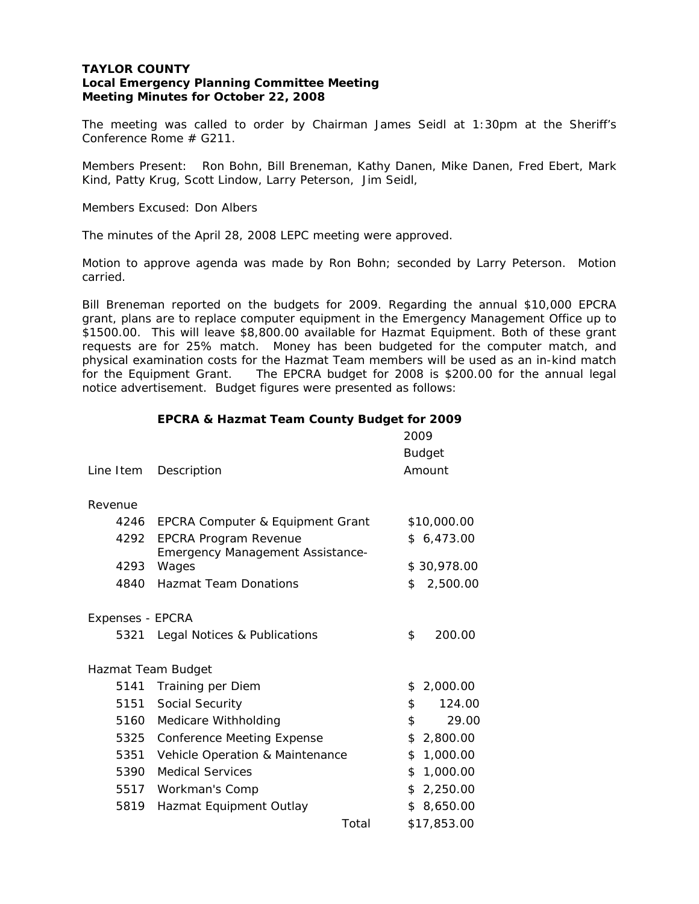## **TAYLOR COUNTY Local Emergency Planning Committee Meeting Meeting Minutes for October 22, 2008**

The meeting was called to order by Chairman James Seidl at 1:30pm at the Sheriff's Conference Rome # G211.

Members Present: Ron Bohn, Bill Breneman, Kathy Danen, Mike Danen, Fred Ebert, Mark Kind, Patty Krug, Scott Lindow, Larry Peterson, Jim Seidl,

Members Excused: Don Albers

The minutes of the April 28, 2008 LEPC meeting were approved.

Motion to approve agenda was made by Ron Bohn; seconded by Larry Peterson. Motion carried.

Bill Breneman reported on the budgets for 2009. Regarding the annual \$10,000 EPCRA grant, plans are to replace computer equipment in the Emergency Management Office up to \$1500.00. This will leave \$8,800.00 available for Hazmat Equipment. Both of these grant requests are for 25% match. Money has been budgeted for the computer match, and physical examination costs for the Hazmat Team members will be used as an in-kind match for the Equipment Grant. The EPCRA budget for 2008 is \$200.00 for the annual legal notice advertisement. Budget figures were presented as follows:

|  | EPCRA & Hazmat Team County Budget for 2009 |  |  |  |
|--|--------------------------------------------|--|--|--|
|  |                                            |  |  |  |

| Line Item                | Description                                      |    | 2009<br><b>Budget</b><br>Amount |  |
|--------------------------|--------------------------------------------------|----|---------------------------------|--|
| Revenue                  |                                                  |    |                                 |  |
|                          |                                                  |    |                                 |  |
| 4246                     | EPCRA Computer & Equipment Grant                 |    | \$10,000.00                     |  |
| 4292                     | <b>EPCRA Program Revenue</b>                     |    | \$6,473.00                      |  |
| 4293                     | <b>Emergency Management Assistance-</b><br>Wages |    | \$30,978.00                     |  |
| 4840                     | <b>Hazmat Team Donations</b>                     | \$ | 2,500.00                        |  |
| Expenses - EPCRA<br>5321 | Legal Notices & Publications                     | \$ | 200.00                          |  |
|                          | Hazmat Team Budget                               |    |                                 |  |
| 5141                     | Training per Diem                                | \$ | 2,000.00                        |  |
|                          | 5151 Social Security                             | \$ | 124.00                          |  |
| 5160                     | Medicare Withholding                             | \$ | 29.00                           |  |
| 5325                     | <b>Conference Meeting Expense</b>                | \$ | 2,800.00                        |  |
| 5351                     | Vehicle Operation & Maintenance                  | \$ | 1,000.00                        |  |
| 5390                     | <b>Medical Services</b>                          | \$ | 1,000.00                        |  |
| 5517                     | Workman's Comp                                   |    | \$2,250.00                      |  |
| 5819                     | Hazmat Equipment Outlay                          |    | \$8,650.00                      |  |
|                          | Total                                            |    | \$17,853.00                     |  |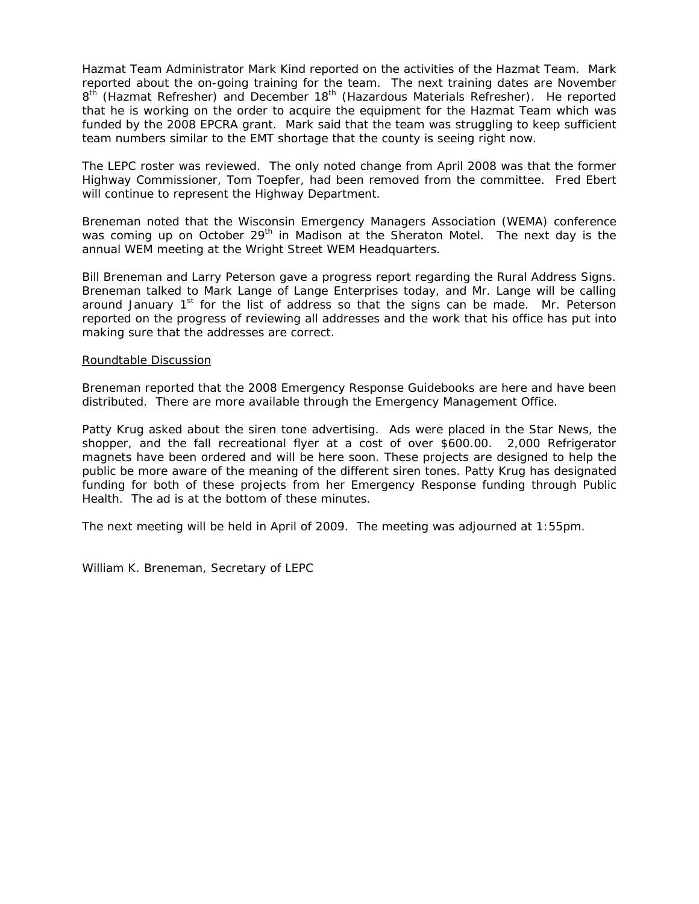Hazmat Team Administrator Mark Kind reported on the activities of the Hazmat Team. Mark reported about the on-going training for the team. The next training dates are November 8<sup>th</sup> (Hazmat Refresher) and December 18<sup>th</sup> (Hazardous Materials Refresher). He reported that he is working on the order to acquire the equipment for the Hazmat Team which was funded by the 2008 EPCRA grant. Mark said that the team was struggling to keep sufficient team numbers similar to the EMT shortage that the county is seeing right now.

The LEPC roster was reviewed. The only noted change from April 2008 was that the former Highway Commissioner, Tom Toepfer, had been removed from the committee. Fred Ebert will continue to represent the Highway Department.

Breneman noted that the Wisconsin Emergency Managers Association (WEMA) conference was coming up on October 29<sup>th</sup> in Madison at the Sheraton Motel. The next day is the annual WEM meeting at the Wright Street WEM Headquarters.

Bill Breneman and Larry Peterson gave a progress report regarding the Rural Address Signs. Breneman talked to Mark Lange of Lange Enterprises today, and Mr. Lange will be calling around January  $1<sup>st</sup>$  for the list of address so that the signs can be made. Mr. Peterson reported on the progress of reviewing all addresses and the work that his office has put into making sure that the addresses are correct.

#### Roundtable Discussion

Breneman reported that the 2008 Emergency Response Guidebooks are here and have been distributed. There are more available through the Emergency Management Office.

Patty Krug asked about the siren tone advertising. Ads were placed in the Star News, the shopper, and the fall recreational flyer at a cost of over \$600.00. 2,000 Refrigerator magnets have been ordered and will be here soon. These projects are designed to help the public be more aware of the meaning of the different siren tones. Patty Krug has designated funding for both of these projects from her Emergency Response funding through Public Health. The ad is at the bottom of these minutes.

The next meeting will be held in April of 2009. The meeting was adjourned at 1:55pm.

William K. Breneman, Secretary of LEPC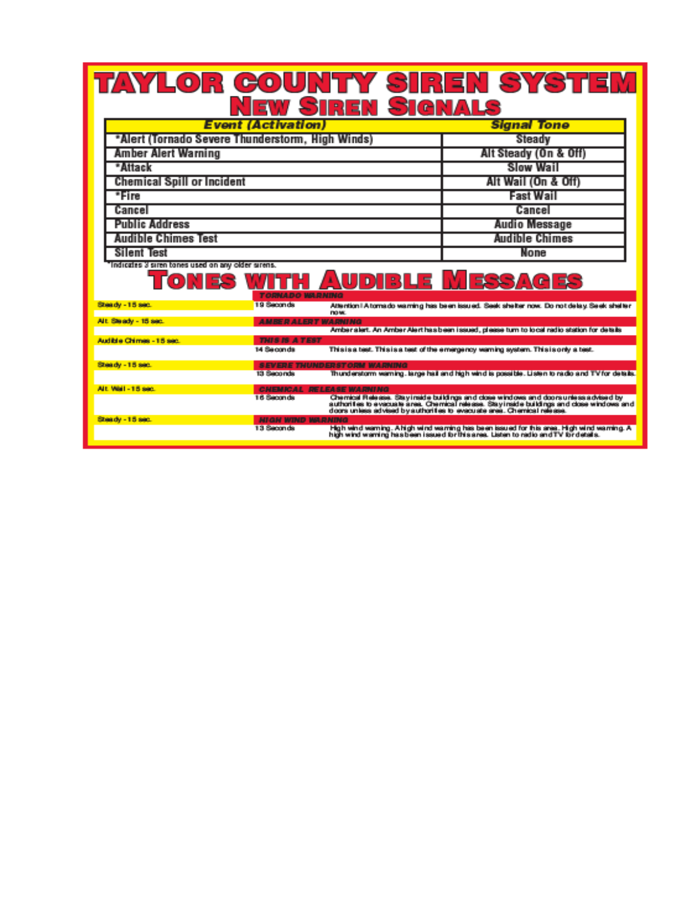# TAYLOR COUNTY SIREN SYSTEM<br>NEW SIREN SIGNALS

| <b>Event (Activation)</b>                         | <b>Signal Tone</b>    |  |  |
|---------------------------------------------------|-----------------------|--|--|
| *Alert (Tornado Severe Thunderstorm, High Winds)  | Steady                |  |  |
| <b>Amber Alert Warning</b>                        | Alt Steady (On & Off) |  |  |
| *Attack                                           | <b>Slow Wail</b>      |  |  |
| <b>Chemical Spill or Incident</b>                 | Alt Wail (On & Off)   |  |  |
| *Fire                                             | <b>Fast Wail</b>      |  |  |
| Cancel                                            | Cancel                |  |  |
| <b>Public Address</b>                             | <b>Audio Message</b>  |  |  |
| <b>Audible Chimes Test</b>                        | <b>Audible Chimes</b> |  |  |
| Silent Test                                       | None                  |  |  |
| Indicates 3 siren tones used on any older sirens. |                       |  |  |

# **TONES WITH AUDIBLE MESSAGES**

| Steady - 15 sec.         | 19 Seconds                      | Attention   A tornado warning has been issued. Seek shelter now. Do not delay, Seek shelter<br><b>DOM.</b>                                                                                                                                                     |  |
|--------------------------|---------------------------------|----------------------------------------------------------------------------------------------------------------------------------------------------------------------------------------------------------------------------------------------------------------|--|
| Alt. Steady - 15 sec.    | <b>AMBER ALERT WARNING</b>      |                                                                                                                                                                                                                                                                |  |
|                          |                                 | Amber alert. An Amber Alert has been issued, please turn to local radio station for details                                                                                                                                                                    |  |
| Audible Chimes - 15 sec. | <b>THIS IS A TEST</b>           |                                                                                                                                                                                                                                                                |  |
|                          | 14 Seconda                      | This is a test. This is a test of the emergency warning system. This is only a test.                                                                                                                                                                           |  |
| Streedy - 15 sec.        |                                 | <b>SEVERE THUNDERSTORM WARNING</b>                                                                                                                                                                                                                             |  |
|                          | 13 Seconds                      | Thunderstorm warning, large hail and high wind is possible. Listen to radio and TV for details.                                                                                                                                                                |  |
| Alt. Wall - 15 sec.      | <b>CHEMICAL RELEASE WARNING</b> |                                                                                                                                                                                                                                                                |  |
|                          | 16 Seconds                      | Chemical Release. Stay inside buildings and close windows and doors unless advised by<br>authorities to evacuate area. Chemical release. Stayinside buildings and close windows and<br>doors unless advised by authorities to evacuate area. Chamical release. |  |
| Steady - 15 sec.         | <b>HIGH WIND WARNING</b>        |                                                                                                                                                                                                                                                                |  |
|                          | 13 Seconds                      | High wind warning. A high wind warning has been issued for fhis area. High wind warning. A<br>high wind warning has been issued for this area. Listen to radio and TV for details.                                                                             |  |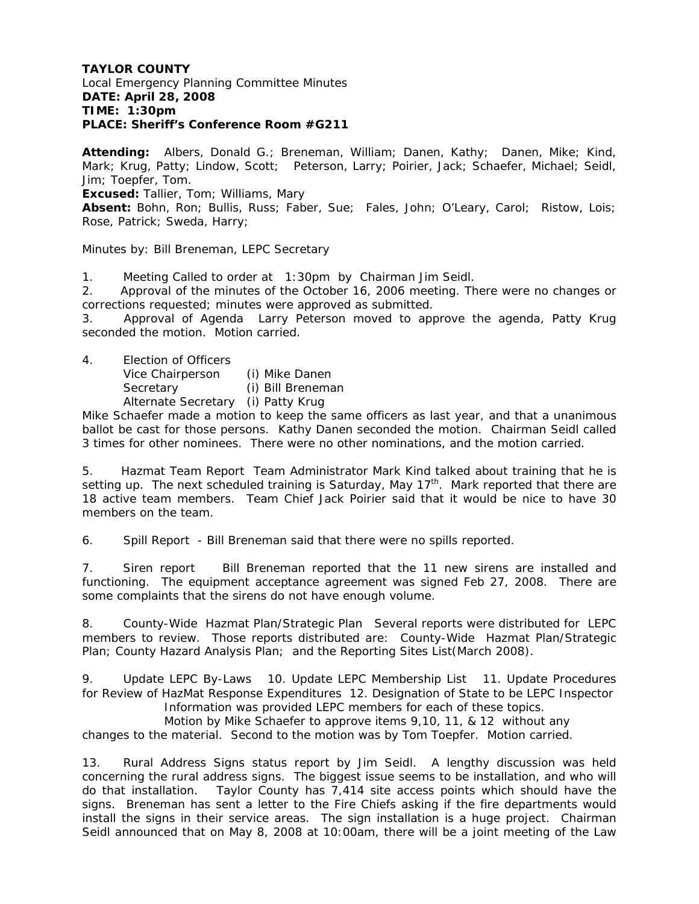### **TAYLOR COUNTY**  Local Emergency Planning Committee Minutes **DATE: April 28, 2008 TIME: 1:30pm PLACE: Sheriff's Conference Room #G211**

**Attending:** Albers, Donald G.; Breneman, William; Danen, Kathy; Danen, Mike; Kind, Mark; Krug, Patty; Lindow, Scott; Peterson, Larry; Poirier, Jack; Schaefer, Michael; Seidl, Jim; Toepfer, Tom.

**Excused:** Tallier, Tom; Williams, Mary

**Absent:** Bohn, Ron; Bullis, Russ; Faber, Sue; Fales, John; O'Leary, Carol; Ristow, Lois; Rose, Patrick; Sweda, Harry;

Minutes by: Bill Breneman, LEPC Secretary

1. Meeting Called to order at 1:30pm by Chairman Jim Seidl.

2. Approval of the minutes of the October 16, 2006 meeting. There were no changes or corrections requested; minutes were approved as submitted.

3. Approval of Agenda Larry Peterson moved to approve the agenda, Patty Krug seconded the motion. Motion carried.

4. Election of Officers

Vice Chairperson (i) Mike Danen Secretary (i) Bill Breneman Alternate Secretary (i) Patty Krug

Mike Schaefer made a motion to keep the same officers as last year, and that a unanimous ballot be cast for those persons. Kathy Danen seconded the motion. Chairman Seidl called 3 times for other nominees. There were no other nominations, and the motion carried.

5. Hazmat Team Report Team Administrator Mark Kind talked about training that he is setting up. The next scheduled training is Saturday, May 17<sup>th</sup>. Mark reported that there are 18 active team members. Team Chief Jack Poirier said that it would be nice to have 30 members on the team.

6. Spill Report - Bill Breneman said that there were no spills reported.

7. Siren report Bill Breneman reported that the 11 new sirens are installed and functioning. The equipment acceptance agreement was signed Feb 27, 2008. There are some complaints that the sirens do not have enough volume.

8. County-Wide Hazmat Plan/Strategic Plan Several reports were distributed for LEPC members to review. Those reports distributed are: County-Wide Hazmat Plan/Strategic Plan; County Hazard Analysis Plan; and the Reporting Sites List(March 2008).

9. Update LEPC By-Laws 10. Update LEPC Membership List 11. Update Procedures for Review of HazMat Response Expenditures 12. Designation of State to be LEPC Inspector Information was provided LEPC members for each of these topics.

 Motion by Mike Schaefer to approve items 9,10, 11, & 12 without any changes to the material. Second to the motion was by Tom Toepfer. Motion carried.

13. Rural Address Signs status report by Jim Seidl. A lengthy discussion was held concerning the rural address signs. The biggest issue seems to be installation, and who will do that installation. Taylor County has 7,414 site access points which should have the signs. Breneman has sent a letter to the Fire Chiefs asking if the fire departments would install the signs in their service areas. The sign installation is a huge project. Chairman Seidl announced that on May 8, 2008 at 10:00am, there will be a joint meeting of the Law